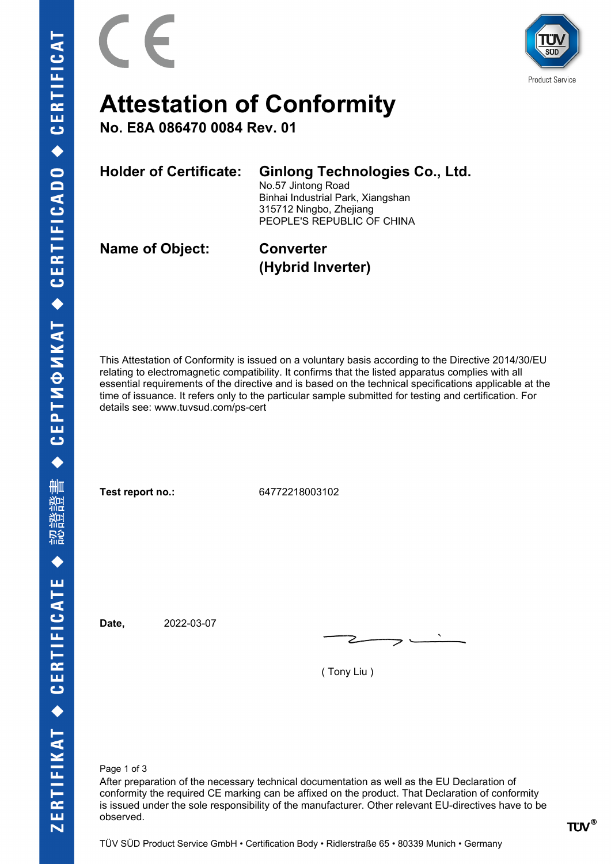

# **Attestation of Conformity**

**No. E8A 086470 0084 Rev. 01**

**Holder of Certificate: Ginlong Technologies Co., Ltd.**

No.57 Jintong Road Binhai Industrial Park, Xiangshan 315712 Ningbo, Zhejiang PEOPLE'S REPUBLIC OF CHINA

**Name of Object: Converter**

**(Hybrid Inverter)**

This Attestation of Conformity is issued on a voluntary basis according to the Directive 2014/30/EU relating to electromagnetic compatibility. It confirms that the listed apparatus complies with all essential requirements of the directive and is based on the technical specifications applicable at the time of issuance. It refers only to the particular sample submitted for testing and certification. For details see: www.tuvsud.com/ps-cert

**Test report no.:** 64772218003102

**Date,** 2022-03-07

( Tony Liu )

Page 1 of 3

After preparation of the necessary technical documentation as well as the EU Declaration of conformity the required CE marking can be affixed on the product. That Declaration of conformity is issued under the sole responsibility of the manufacturer. Other relevant EU-directives have to be observed.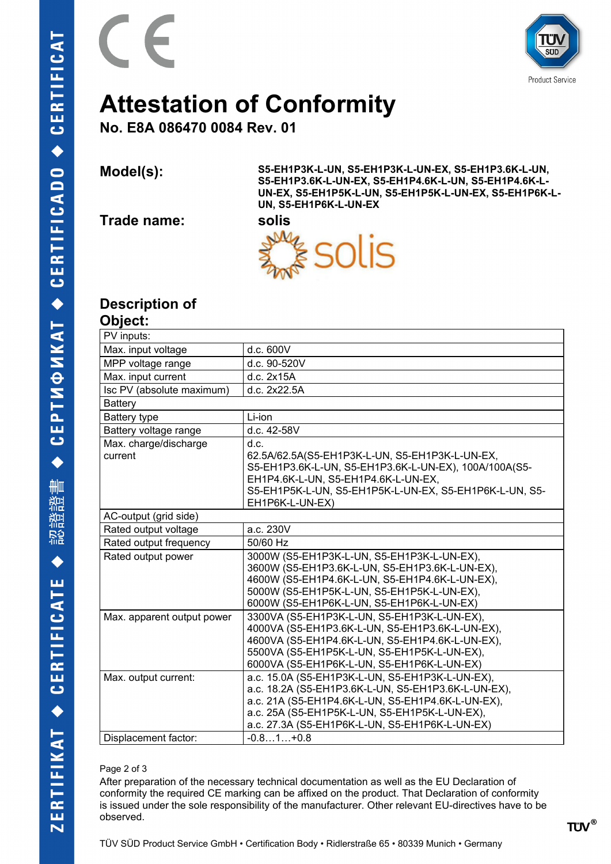



# **Attestation of Conformity**

**No. E8A 086470 0084 Rev. 01**

**Model(s): S5-EH1P3K-L-UN, S5-EH1P3K-L-UN-EX, S5-EH1P3.6K-L-UN, S5-EH1P3.6K-L-UN-EX, S5-EH1P4.6K-L-UN, S5-EH1P4.6K-L-UN-EX, S5-EH1P5K-L-UN, S5-EH1P5K-L-UN-EX, S5-EH1P6K-L-UN, S5-EH1P6K-L-UN-EX** 

**Trade name: solis**

F



### **Description of**

| <b>Object:</b>                   |                                                                                                                                                                                                                                                                |
|----------------------------------|----------------------------------------------------------------------------------------------------------------------------------------------------------------------------------------------------------------------------------------------------------------|
| PV inputs:                       |                                                                                                                                                                                                                                                                |
| Max. input voltage               | d.c. 600V                                                                                                                                                                                                                                                      |
| MPP voltage range                | d.c. 90-520V                                                                                                                                                                                                                                                   |
| Max. input current               | d.c. 2x15A                                                                                                                                                                                                                                                     |
| Isc PV (absolute maximum)        | d.c. 2x22.5A                                                                                                                                                                                                                                                   |
| <b>Battery</b>                   |                                                                                                                                                                                                                                                                |
| <b>Battery type</b>              | Li-ion                                                                                                                                                                                                                                                         |
| Battery voltage range            | d.c. 42-58V                                                                                                                                                                                                                                                    |
| Max. charge/discharge<br>current | d.c.<br>62.5A/62.5A(S5-EH1P3K-L-UN, S5-EH1P3K-L-UN-EX,<br>S5-EH1P3.6K-L-UN, S5-EH1P3.6K-L-UN-EX), 100A/100A(S5-<br>EH1P4.6K-L-UN, S5-EH1P4.6K-L-UN-EX,<br>S5-EH1P5K-L-UN, S5-EH1P5K-L-UN-EX, S5-EH1P6K-L-UN, S5-<br>EH1P6K-L-UN-EX)                            |
| AC-output (grid side)            |                                                                                                                                                                                                                                                                |
| Rated output voltage             | a.c. 230V                                                                                                                                                                                                                                                      |
| Rated output frequency           | 50/60 Hz                                                                                                                                                                                                                                                       |
| Rated output power               | 3000W (S5-EH1P3K-L-UN, S5-EH1P3K-L-UN-EX),<br>3600W (S5-EH1P3.6K-L-UN, S5-EH1P3.6K-L-UN-EX),<br>4600W (S5-EH1P4.6K-L-UN, S5-EH1P4.6K-L-UN-EX),<br>5000W (S5-EH1P5K-L-UN, S5-EH1P5K-L-UN-EX),<br>6000W (S5-EH1P6K-L-UN, S5-EH1P6K-L-UN-EX)                      |
| Max. apparent output power       | 3300VA (S5-EH1P3K-L-UN, S5-EH1P3K-L-UN-EX),<br>4000VA (S5-EH1P3.6K-L-UN, S5-EH1P3.6K-L-UN-EX),<br>4600VA (S5-EH1P4.6K-L-UN, S5-EH1P4.6K-L-UN-EX),<br>5500VA (S5-EH1P5K-L-UN, S5-EH1P5K-L-UN-EX),<br>6000VA (S5-EH1P6K-L-UN, S5-EH1P6K-L-UN-EX)                 |
| Max. output current:             | a.c. 15.0A (S5-EH1P3K-L-UN, S5-EH1P3K-L-UN-EX),<br>a.c. 18.2A (S5-EH1P3.6K-L-UN, S5-EH1P3.6K-L-UN-EX),<br>a.c. 21A (S5-EH1P4.6K-L-UN, S5-EH1P4.6K-L-UN-EX),<br>a.c. 25A (S5-EH1P5K-L-UN, S5-EH1P5K-L-UN-EX),<br>a.c. 27.3A (S5-EH1P6K-L-UN, S5-EH1P6K-L-UN-EX) |
| Displacement factor:             | $-0.81+0.8$                                                                                                                                                                                                                                                    |

#### Page 2 of 3

After preparation of the necessary technical documentation as well as the EU Declaration of conformity the required CE marking can be affixed on the product. That Declaration of conformity is issued under the sole responsibility of the manufacturer. Other relevant EU-directives have to be observed.